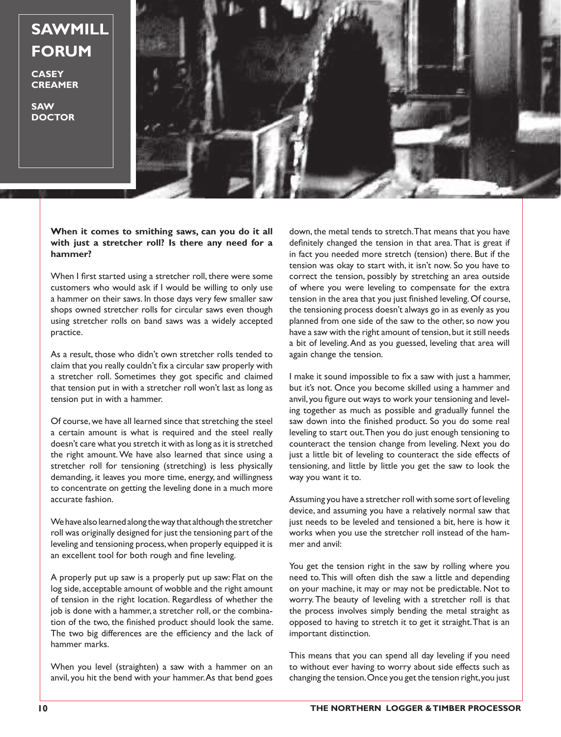## **SAWMILL FORUM**

**CASEY CREAMER**

**SAW DOCTOR**



## **When it comes to smithing saws, can you do it all with just a stretcher roll? Is there any need for a hammer?**

When I first started using a stretcher roll, there were some customers who would ask if I would be willing to only use a hammer on their saws. In those days very few smaller saw shops owned stretcher rolls for circular saws even though using stretcher rolls on band saws was a widely accepted practice.

As a result, those who didn't own stretcher rolls tended to claim that you really couldn't fix a circular saw properly with a stretcher roll. Sometimes they got specific and claimed that tension put in with a stretcher roll won't last as long as tension put in with a hammer.

Of course,we have all learned since that stretching the steel a certain amount is what is required and the steel really doesn't care what you stretch it with as long as it is stretched the right amount.We have also learned that since using a stretcher roll for tensioning (stretching) is less physically demanding, it leaves you more time, energy, and willingness to concentrate on getting the leveling done in a much more accurate fashion.

We have also learned along the way that although the stretcher roll was originally designed for just the tensioning part of the leveling and tensioning process,when properly equipped it is an excellent tool for both rough and fine leveling.

A properly put up saw is a properly put up saw: Flat on the log side, acceptable amount of wobble and the right amount of tension in the right location. Regardless of whether the job is done with a hammer, a stretcher roll, or the combination of the two, the finished product should look the same. The two big differences are the efficiency and the lack of hammer marks.

When you level (straighten) a saw with a hammer on an anvil, you hit the bend with your hammer.As that bend goes

down, the metal tends to stretch. That means that you have definitely changed the tension in that area.That is great if in fact you needed more stretch (tension) there. But if the tension was okay to start with, it isn't now. So you have to correct the tension, possibly by stretching an area outside of where you were leveling to compensate for the extra tension in the area that you just finished leveling. Of course, the tensioning process doesn't always go in as evenly as you planned from one side of the saw to the other, so now you have a saw with the right amount of tension, but it still needs a bit of leveling.And as you guessed, leveling that area will again change the tension.

I make it sound impossible to fix a saw with just a hammer, but it's not. Once you become skilled using a hammer and anvil, you figure out ways to work your tensioning and leveling together as much as possible and gradually funnel the saw down into the finished product. So you do some real leveling to start out.Then you do just enough tensioning to counteract the tension change from leveling. Next you do just a little bit of leveling to counteract the side effects of tensioning, and little by little you get the saw to look the way you want it to.

Assuming you have a stretcher roll with some sort of leveling device, and assuming you have a relatively normal saw that just needs to be leveled and tensioned a bit, here is how it works when you use the stretcher roll instead of the hammer and anvil:

You get the tension right in the saw by rolling where you need to.This will often dish the saw a little and depending on your machine, it may or may not be predictable. Not to worry. The beauty of leveling with a stretcher roll is that the process involves simply bending the metal straight as opposed to having to stretch it to get it straight.That is an important distinction.

This means that you can spend all day leveling if you need to without ever having to worry about side effects such as changing the tension.Once you get the tension right,you just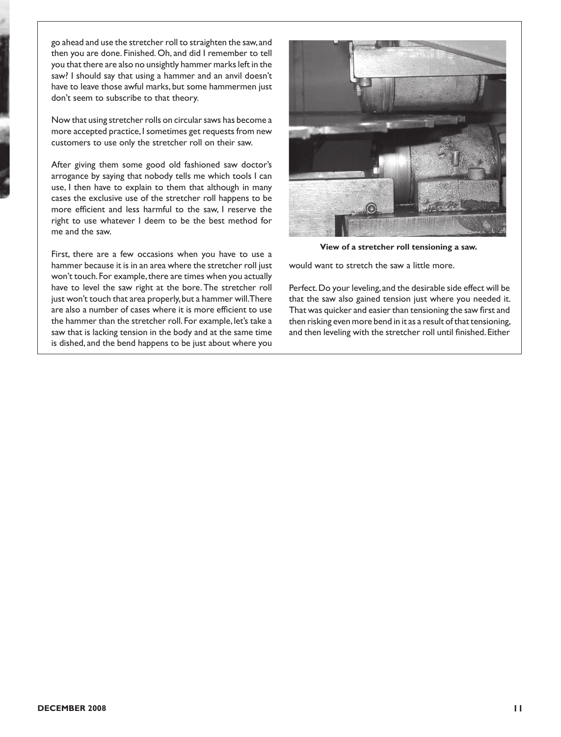go ahead and use the stretcher roll to straighten the saw,and then you are done. Finished. Oh, and did I remember to tell you that there are also no unsightly hammer marks left in the saw? I should say that using a hammer and an anvil doesn't have to leave those awful marks, but some hammermen just don't seem to subscribe to that theory.

Now that using stretcher rolls on circular saws has become a more accepted practice, I sometimes get requests from new customers to use only the stretcher roll on their saw.

After giving them some good old fashioned saw doctor's arrogance by saying that nobody tells me which tools I can use, I then have to explain to them that although in many cases the exclusive use of the stretcher roll happens to be more efficient and less harmful to the saw, I reserve the right to use whatever I deem to be the best method for me and the saw.

First, there are a few occasions when you have to use a hammer because it is in an area where the stretcher roll just won't touch. For example, there are times when you actually have to level the saw right at the bore.The stretcher roll just won't touch that area properly, but a hammer will. There are also a number of cases where it is more efficient to use the hammer than the stretcher roll. For example, let's take a saw that is lacking tension in the body and at the same time is dished, and the bend happens to be just about where you



**View of a stretcher roll tensioning a saw.**

would want to stretch the saw a little more.

Perfect.Do your leveling, and the desirable side effect will be that the saw also gained tension just where you needed it. That was quicker and easier than tensioning the saw first and then risking even more bend in it as a result of that tensioning, and then leveling with the stretcher roll until finished. Either